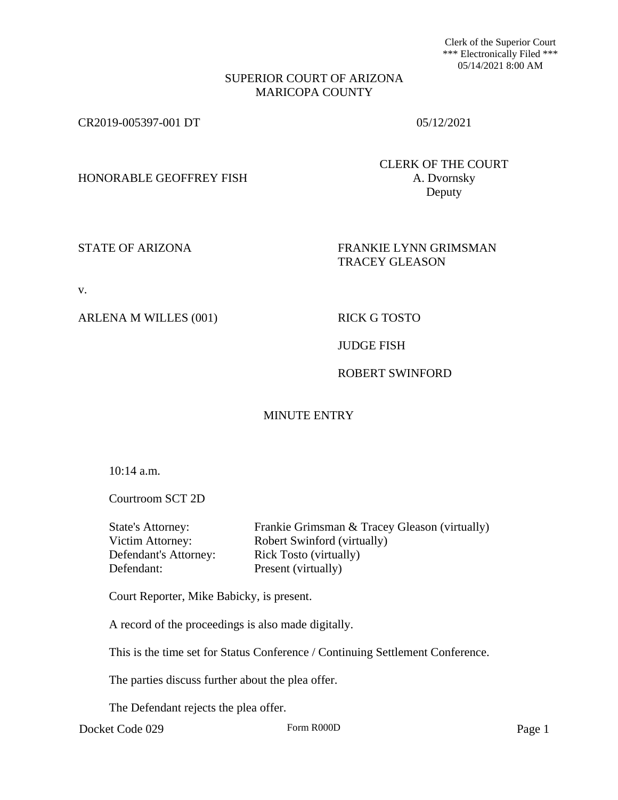Clerk of the Superior Court \*\*\* Electronically Filed \*\*\* 05/14/2021 8:00 AM

#### SUPERIOR COURT OF ARIZONA MARICOPA COUNTY

CR2019-005397-001 DT 05/12/2021

HONORABLE GEOFFREY FISH A. Dvornsky

CLERK OF THE COURT Deputy

STATE OF ARIZONA FRANKIE LYNN GRIMSMAN TRACEY GLEASON

v.

ARLENA M WILLES (001) RICK G TOSTO

JUDGE FISH

## ROBERT SWINFORD

# MINUTE ENTRY

10:14 a.m.

Courtroom SCT 2D

| State's Attorney:     | Frankie Grimsman & Tracey Gleason (virtually) |
|-----------------------|-----------------------------------------------|
| Victim Attorney:      | Robert Swinford (virtually)                   |
| Defendant's Attorney: | <b>Rick Tosto (virtually)</b>                 |
| Defendant:            | Present (virtually)                           |
|                       |                                               |

Court Reporter, Mike Babicky, is present.

A record of the proceedings is also made digitally.

This is the time set for Status Conference / Continuing Settlement Conference.

The parties discuss further about the plea offer.

The Defendant rejects the plea offer.

Docket Code 029 Form R000D Form R000D Page 1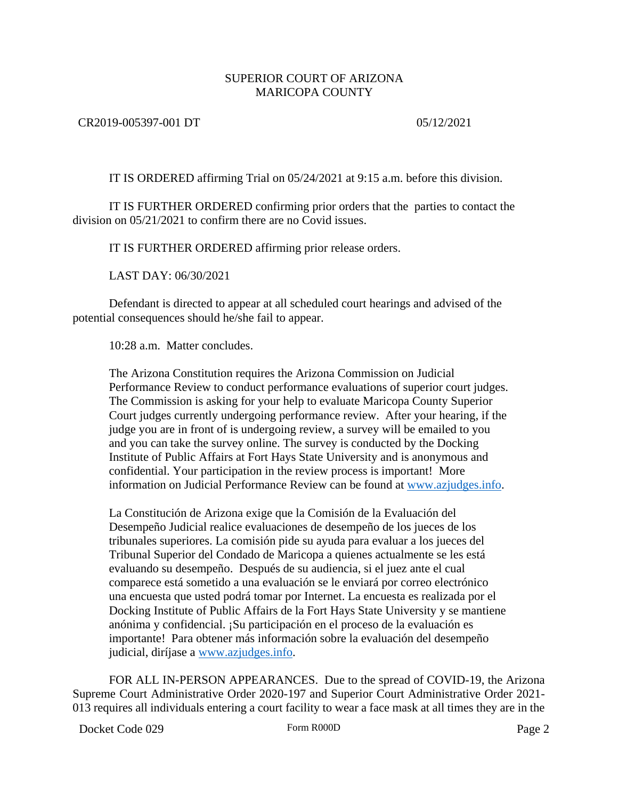### SUPERIOR COURT OF ARIZONA MARICOPA COUNTY

#### CR2019-005397-001 DT 05/12/2021

IT IS ORDERED affirming Trial on 05/24/2021 at 9:15 a.m. before this division.

IT IS FURTHER ORDERED confirming prior orders that the parties to contact the division on 05/21/2021 to confirm there are no Covid issues.

IT IS FURTHER ORDERED affirming prior release orders.

LAST DAY: 06/30/2021

Defendant is directed to appear at all scheduled court hearings and advised of the potential consequences should he/she fail to appear.

10:28 a.m. Matter concludes.

The Arizona Constitution requires the Arizona Commission on Judicial Performance Review to conduct performance evaluations of superior court judges. The Commission is asking for your help to evaluate Maricopa County Superior Court judges currently undergoing performance review. After your hearing, if the judge you are in front of is undergoing review, a survey will be emailed to you and you can take the survey online. The survey is conducted by the Docking Institute of Public Affairs at Fort Hays State University and is anonymous and confidential. Your participation in the review process is important! More information on Judicial Performance Review can be found at [www.azjudges.info.](http://www.azjudges.info/)

La Constitución de Arizona exige que la Comisión de la Evaluación del Desempeño Judicial realice evaluaciones de desempeño de los jueces de los tribunales superiores. La comisión pide su ayuda para evaluar a los jueces del Tribunal Superior del Condado de Maricopa a quienes actualmente se les está evaluando su desempeño. Después de su audiencia, si el juez ante el cual comparece está sometido a una evaluación se le enviará por correo electrónico una encuesta que usted podrá tomar por Internet. La encuesta es realizada por el Docking Institute of Public Affairs de la Fort Hays State University y se mantiene anónima y confidencial. ¡Su participación en el proceso de la evaluación es importante! Para obtener más información sobre la evaluación del desempeño judicial, diríjase a [www.azjudges.info.](http://www.azjudges.info/)

FOR ALL IN-PERSON APPEARANCES. Due to the spread of COVID-19, the Arizona Supreme Court Administrative Order 2020-197 and Superior Court Administrative Order 2021- 013 requires all individuals entering a court facility to wear a face mask at all times they are in the

Docket Code 029 Form R000D Form R000D Page 2